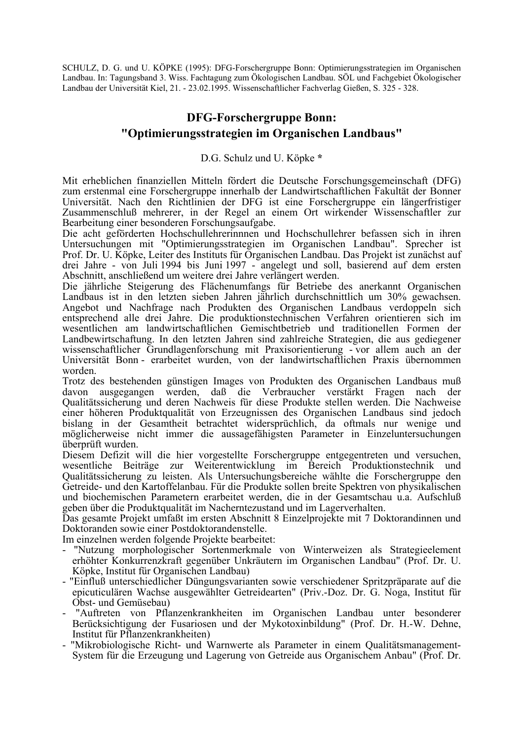SCHULZ, D. G. und U. KÖPKE (1995): DFG-Forschergruppe Bonn: Optimierungsstrategien im Organischen Landbau. In: Tagungsband 3. Wiss. Fachtagung zum Ökologischen Landbau. SÖL und Fachgebiet Ökologischer Landbau der Universität Kiel, 21. - 23.02.1995. Wissenschaftlicher Fachverlag Gießen, S. 325 - 328.

## **DFG-Forschergruppe Bonn:** "Optimierungsstrategien im Organischen Landbaus"

D.G. Schulz und U. Köpke \*

Mit erheblichen finanziellen Mitteln fördert die Deutsche Forschungsgemeinschaft (DFG) zum erstenmal eine Forschergruppe innerhalb der Landwirtschaftlichen Fakultät der Bonner Universität. Nach den Richtlinien der DFG ist eine Forschergruppe ein längerfristiger Zusammenschluß mehrerer, in der Regel an einem Ort wirkender Wissenschaftler zur Bearbeitung einer besonderen Forschungsaufgabe.

Die acht geförderten Hochschullehrerinnnen und Hochschullehrer befassen sich in ihren Untersuchungen mit "Optimierungsstrategien im Organischen Landbau". Sprecher ist Prof. Dr. U. Köpke, Leiter des Instituts für Örganischen Landbau. Das Projekt ist zunächst auf drei Jahre - von Juli 1994 bis Juni 1997 - angelegt und soll, basierend auf dem ersten Abschnitt, anschließend um weitere drei Jahre verlängert werden.

Die jährliche Steigerung des Flächenumfangs für Betriebe des anerkannt Organischen Landbaus ist in den letzten sieben Jahren jährlich durchschnittlich um 30% gewachsen. Angebot und Nachfrage nach Produkten des Organischen Landbaus verdoppeln sich entsprechend alle drei Jahre. Die produktionstechnischen Verfahren orientieren sich im wesentlichen am landwirtschaftlichen Gemischtbetrieb und traditionellen Formen der Landbewirtschaftung. In den letzten Jahren sind zahlreiche Strategien, die aus gediegener wissenschaftlicher Grundlagenforschung mit Praxisorientierung - vor allem auch an der Universität Bonn - erarbeitet wurden, von der landwirtschaftlichen Praxis übernommen worden.

Trotz des bestehenden günstigen Images von Produkten des Organischen Landbaus muß davon ausgegangen werden, daß die Verbraucher verstärkt Fragen nach der Qualitätssicherung und deren Nachweis für diese Produkte stellen werden. Die Nachweise einer höheren Produktqualität von Erzeugnissen des Organischen Landbaus sind jedoch bislang in der Gesamtheit betrachtet widersprüchlich, da oftmals nur wenige und möglicherweise nicht immer die aussagefähigsten Parameter in Einzeluntersuchungen überprüft wurden.

Diesem Defizit will die hier vorgestellte Forschergruppe entgegentreten und versuchen, wesentliche Beiträge zur Weiterentwicklung im Bereich Produktionstechnik und Qualitätssicherung zu leisten. Als Untersuchungsbereiche wählte die Forschergruppe den Getreide- und den Kartoffelanbau. Für die Produkte sollen breite Spektren von physikalischen und biochemischen Parametern erarbeitet werden, die in der Gesamtschau u.a. Aufschluß geben über die Produktqualität im Nacherntezustand und im Lagerverhalten.

Das gesamte Projekt umfaßt im ersten Abschnitt 8 Einzelprojekte mit 7 Doktorandinnen und Doktoranden sowie einer Postdoktorandenstelle.

Im einzelnen werden folgende Projekte bearbeitet:

- "Nutzung morphologischer Sortenmerkmale von Winterweizen als Strategieelement erhöhter Konkurrenzkraft gegenüber Unkräutern im Organischen Landbau" (Prof. Dr. U. Köpke, Institut für Organischen Landbau)
- "Einfluß unterschiedlicher Düngungsvarianten sowie verschiedener Spritzpräparate auf die epicuticulären Wachse ausgewählter Getreidearten" (Priv.-Doz. Dr. G. Noga, Institut für Obst- und Gemüsebau)
- "Auftreten von Pflanzenkrankheiten im Organischen Landbau unter besonderer Berücksichtigung der Fusariosen und der Mykotoxinbildung" (Prof. Dr. H.-W. Dehne, Institut für Pflanzenkrankheiten)
- "Mikrobiologische Richt- und Warnwerte als Parameter in einem Qualitätsmanagement-System für die Erzeugung und Lagerung von Getreide aus Organischem Anbau" (Prof. Dr.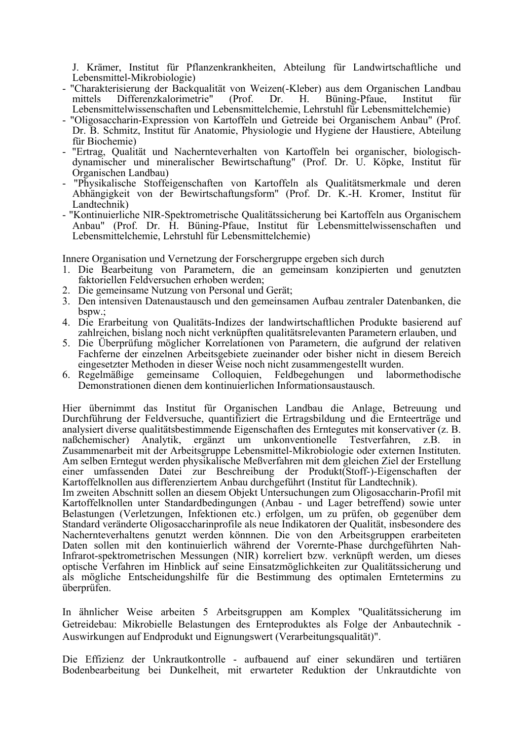J. Krämer, Institut für Pflanzenkrankheiten, Abteilung für Landwirtschaftliche und Lebensmittel-Mikrobiologie)

- "Charakterisierung der Backqualität von Weizen(-Kleber) aus dem Organischen Landbau (Prof. mittels Differenzkalorimetrie" Dr.  $H_{\cdot}$ Büning-Pfaue. Institut fiir Lebensmittelwissenschaften und Lebensmittelchemie, Lehrstuhl für Lebensmittelchemie)
- "Oligosaccharin-Expression von Kartoffeln und Getreide bei Organischem Anbau" (Prof. Dr. B. Schmitz, Institut für Anatomie, Physiologie und Hygiene der Haustiere, Abteilung für Biochemie)
- "Ertrag, Qualität und Nachernteverhalten von Kartoffeln bei organischer, biologischdynamischer und mineralischer Bewirtschaftung" (Prof. Dr. U. Köpke, Institut für Organischen Landbau)
- "Physikalische Stoffeigenschaften von Kartoffeln als Qualitätsmerkmale und deren Abhängigkeit von der Bewirtschaftungsform" (Prof. Dr. K.-H. Kromer, Institut für Landtechnik)
- "Kontinuierliche NIR-Spektrometrische Qualitätssicherung bei Kartoffeln aus Organischem Anbau" (Prof. Dr. H. Büning-Pfaue, Institut für Lebensmittelwissenschaften und Lebensmittelchemie. Lehrstuhl für Lebensmittelchemie)

Innere Organisation und Vernetzung der Forschergruppe ergeben sich durch

- 1. Die Bearbeitung von Parametern, die an gemeinsam konzipierten und genutzten faktoriellen Feldversuchen erhoben werden;
- 2. Die gemeinsame Nutzung von Personal und Gerät;
- 3. Den intensiven Datenaustausch und den gemeinsamen Aufbau zentraler Datenbanken, die  $bspw$ .
- 4. Die Erarbeitung von Qualitäts-Indizes der landwirtschaftlichen Produkte basierend auf zahlreichen, bislang noch nicht verknüpften qualitätsrelevanten Parametern erlauben, und
- 5. Die Überprüfung möglicher Korrelationen von Parametern, die aufgrund der relativen Fachferne der einzelnen Arbeitsgebiete zueinander oder bisher nicht in diesem Bereich eingesetzter Methoden in dieser Weise noch nicht zusammengestellt wurden.
- gemeinsame Colloquien, Feldbegehungen und labormethodische 6. Regelmäßige Demonstrationen dienen dem kontinuierlichen Informationsaustausch.

Hier übernimmt das Institut für Organischen Landbau die Anlage, Betreuung und Durchführung der Feldversuche, quantifiziert die Ertragsbildung und die Ernteerträge und analysiert diverse qualitätsbestimmende Eigenschaften des Erntegutes mit konservativer (z. B. naßchemischer) Analytik, ergänzt um unkonventionelle Testverfahren,  $Z.B.$  $in$ Zusammenarbeit mit der Arbeitsgruppe Lebensmittel-Mikrobiologie oder externen Instituten. Am selben Erntegut werden physikalische Meßverfahren mit dem gleichen Ziel der Erstellung einer umfassenden Datei zur Beschreibung der Produkt(Stoff-)-Eigenschaften der Kartoffelknollen aus differenziertem Anbau durchgeführt (Institut für Landtechnik).

Im zweiten Abschnitt sollen an diesem Objekt Untersuchungen zum Oligosaccharin-Profil mit Kartoffelknollen unter Standardbedingungen (Anbau - und Lager betreffend) sowie unter Belastungen (Verletzungen, Infektionen etc.) erfolgen, um zu prüfen, ob gegenüber dem Standard veränderte Oligosaccharinprofile als neue Indikatoren der Qualität, insbesondere des Nachernteverhaltens genutzt werden könnnen. Die von den Arbeitsgruppen erarbeiteten Daten sollen mit den kontinuierlich während der Vorernte-Phase durchgeführten Nah-Infrarot-spektrometrischen Messungen (NIR) korreliert bzw. verknüpft werden, um dieses optische Verfahren im Hinblick auf seine Einsatzmöglichkeiten zur Qualitätssicherung und als mögliche Entscheidungshilfe für die Bestimmung des optimalen Erntetermins zu überprüfen.

In ähnlicher Weise arbeiten 5 Arbeitsgruppen am Komplex "Qualitätssicherung im Getreidebau: Mikrobielle Belastungen des Ernteproduktes als Folge der Anbautechnik -Auswirkungen auf Endprodukt und Eignungswert (Verarbeitungsqualität)".

Die Effizienz der Unkrautkontrolle - aufbauend auf einer sekundären und tertiären Bodenbearbeitung bei Dunkelheit, mit erwarteter Reduktion der Unkrautdichte von